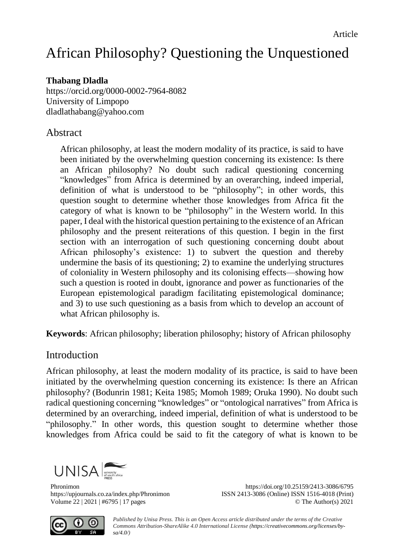# African Philosophy? Questioning the Unquestioned

# **Thabang Dladla**

<https://orcid.org/0000-0002-7964-8082> University of Limpopo [dladlathabang@yahoo.com](mailto:dladlathabang@yahoo.com)

# Abstract

African philosophy, at least the modern modality of its practice, is said to have been initiated by the overwhelming question concerning its existence: Is there an African philosophy? No doubt such radical questioning concerning "knowledges" from Africa is determined by an overarching, indeed imperial, definition of what is understood to be "philosophy"; in other words, this question sought to determine whether those knowledges from Africa fit the category of what is known to be "philosophy" in the Western world*.* In this paper, I deal with the historical question pertaining to the existence of an African philosophy and the present reiterations of this question. I begin in the first section with an interrogation of such questioning concerning doubt about African philosophy's existence: 1) to subvert the question and thereby undermine the basis of its questioning; 2) to examine the underlying structures of coloniality in Western philosophy and its colonising effects—showing how such a question is rooted in doubt, ignorance and power as functionaries of the European epistemological paradigm facilitating epistemological dominance; and 3) to use such questioning as a basis from which to develop an account of what African philosophy is.

**Keywords**: African philosophy; liberation philosophy; history of African philosophy

# **Introduction**

African philosophy, at least the modern modality of its practice, is said to have been initiated by the overwhelming question concerning its existence: Is there an African philosophy? (Bodunrin 1981; Keita 1985; Momoh 1989; Oruka 1990). No doubt such radical questioning concerning "knowledges" or "ontological narratives" from Africa is determined by an overarching, indeed imperial, definition of what is understood to be "philosophy." In other words, this question sought to determine whether those knowledges from Africa could be said to fit the category of what is known to be



Phronimon <https://doi.org/10.25159/2413-3086/6795> <https://upjournals.co.za/index.php/Phronimon> ISSN 2413-3086 (Online) ISSN 1516-4018 (Print) Volume 22 | 2021 | #6795 | 17 pages © The Author(s) 2021



*Published by Unisa Press. This is an Open Access article distributed under the terms of the Creative Commons Attribution-ShareAlike 4.0 International License [\(https://creativecommons.org/licenses/by](https://creativecommons.org/licenses/by-sa/4.0/)[sa/4.0/\)](https://creativecommons.org/licenses/by-sa/4.0/)*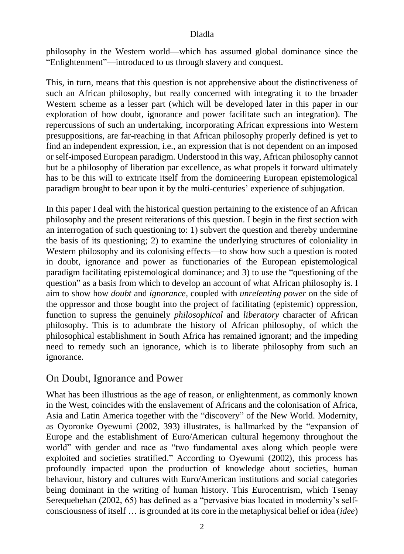philosophy in the Western world—which has assumed global dominance since the "Enlightenment"—introduced to us through slavery and conquest.

This, in turn, means that this question is not apprehensive about the distinctiveness of such an African philosophy, but really concerned with integrating it to the broader Western scheme as a lesser part (which will be developed later in this paper in our exploration of how doubt, ignorance and power facilitate such an integration). The repercussions of such an undertaking, incorporating African expressions into Western presuppositions, are far-reaching in that African philosophy properly defined is yet to find an independent expression, i.e., an expression that is not dependent on an imposed or self-imposed European paradigm. Understood in this way, African philosophy cannot but be a philosophy of liberation par excellence, as what propels it forward ultimately has to be this will to extricate itself from the domineering European epistemological paradigm brought to bear upon it by the multi-centuries' experience of subjugation*.*

In this paper I deal with the historical question pertaining to the existence of an African philosophy and the present reiterations of this question. I begin in the first section with an interrogation of such questioning to: 1) subvert the question and thereby undermine the basis of its questioning; 2) to examine the underlying structures of coloniality in Western philosophy and its colonising effects—to show how such a question is rooted in doubt, ignorance and power as functionaries of the European epistemological paradigm facilitating epistemological dominance; and 3) to use the "questioning of the question" as a basis from which to develop an account of what African philosophy is. I aim to show how *doubt* and *ignorance,* coupled with *unrelenting power* on the side of the oppressor and those bought into the project of facilitating (epistemic) oppression, function to supress the genuinely *philosophical* and *liberatory* character of African philosophy. This is to adumbrate the history of African philosophy, of which the philosophical establishment in South Africa has remained ignorant; and the impeding need to remedy such an ignorance, which is to liberate philosophy from such an ignorance.

# On Doubt, Ignorance and Power

What has been illustrious as the age of reason, or enlightenment, as commonly known in the West, coincides with the enslavement of Africans and the colonisation of Africa, Asia and Latin America together with the "discovery" of the New World. Modernity, as Oyoronke Oyewumi (2002, 393) illustrates, is hallmarked by the "expansion of Europe and the establishment of Euro/American cultural hegemony throughout the world" with gender and race as "two fundamental axes along which people were exploited and societies stratified." According to Oyewumi (2002), this process has profoundly impacted upon the production of knowledge about societies, human behaviour, history and cultures with Euro/American institutions and social categories being dominant in the writing of human history. This Eurocentrism, which Tsenay Serequebehan (2002, 65) has defined as a "pervasive bias located in modernity's selfconsciousness of itself … is grounded at its core in the metaphysical belief or idea (*idee*)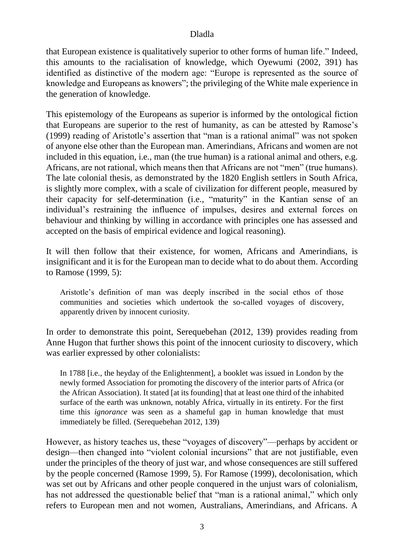that European existence is qualitatively superior to other forms of human life." Indeed, this amounts to the racialisation of knowledge, which Oyewumi (2002, 391) has identified as distinctive of the modern age: "Europe is represented as the source of knowledge and Europeans as knowers"; the privileging of the White male experience in the generation of knowledge.

This epistemology of the Europeans as superior is informed by the ontological fiction that Europeans are superior to the rest of humanity, as can be attested by Ramose's (1999) reading of Aristotle's assertion that "man is a rational animal" was not spoken of anyone else other than the European man. Amerindians, Africans and women are not included in this equation, i.e., man (the true human) is a rational animal and others, e.g. Africans, are not rational, which means then that Africans are not "men" (true humans). The late colonial thesis, as demonstrated by the 1820 English settlers in South Africa, is slightly more complex, with a scale of civilization for different people, measured by their capacity for self-determination (i.e., "maturity" in the Kantian sense of an individual's restraining the influence of impulses, desires and external forces on behaviour and thinking by willing in accordance with principles one has assessed and accepted on the basis of empirical evidence and logical reasoning).

It will then follow that their existence, for women, Africans and Amerindians, is insignificant and it is for the European man to decide what to do about them. According to Ramose (1999, 5):

Aristotle's definition of man was deeply inscribed in the social ethos of those communities and societies which undertook the so-called voyages of discovery, apparently driven by innocent curiosity.

In order to demonstrate this point, Serequebehan (2012, 139) provides reading from Anne Hugon that further shows this point of the innocent curiosity to discovery, which was earlier expressed by other colonialists:

In 1788 [i.e., the heyday of the Enlightenment], a booklet was issued in London by the newly formed Association for promoting the discovery of the interior parts of Africa (or the African Association). It stated [at its founding] that at least one third of the inhabited surface of the earth was unknown, notably Africa, virtually in its entirety. For the first time this *ignorance* was seen as a shameful gap in human knowledge that must immediately be filled. (Serequebehan 2012, 139)

However, as history teaches us, these "voyages of discovery"—perhaps by accident or design—then changed into "violent colonial incursions" that are not justifiable, even under the principles of the theory of just war, and whose consequences are still suffered by the people concerned (Ramose 1999, 5). For Ramose (1999), decolonisation, which was set out by Africans and other people conquered in the unjust wars of colonialism, has not addressed the questionable belief that "man is a rational animal," which only refers to European men and not women, Australians, Amerindians, and Africans. A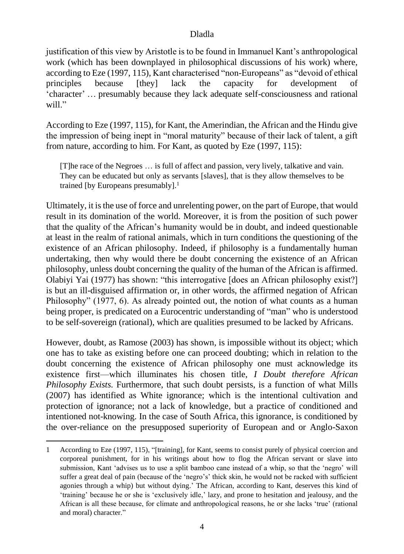justification of this view by Aristotle is to be found in Immanuel Kant's anthropological work (which has been downplayed in philosophical discussions of his work) where, according to Eze (1997, 115), Kant characterised "non-Europeans" as "devoid of ethical principles because [they] lack the capacity for development of 'character' … presumably because they lack adequate self-consciousness and rational will."

According to Eze (1997, 115), for Kant, the Amerindian, the African and the Hindu give the impression of being inept in "moral maturity" because of their lack of talent, a gift from nature, according to him. For Kant, as quoted by Eze (1997, 115):

[T]he race of the Negroes … is full of affect and passion, very lively, talkative and vain. They can be educated but only as servants [slaves], that is they allow themselves to be trained [by Europeans presumably]. 1

Ultimately, it is the use of force and unrelenting power, on the part of Europe, that would result in its domination of the world. Moreover, it is from the position of such power that the quality of the African's humanity would be in doubt, and indeed questionable at least in the realm of rational animals, which in turn conditions the questioning of the existence of an African philosophy. Indeed, if philosophy is a fundamentally human undertaking, then why would there be doubt concerning the existence of an African philosophy, unless doubt concerning the quality of the human of the African is affirmed. Olabiyi Yai (1977) has shown: "this interrogative [does an African philosophy exist?] is but an ill-disguised affirmation or, in other words, the affirmed negation of African Philosophy" (1977, 6). As already pointed out, the notion of what counts as a human being proper, is predicated on a Eurocentric understanding of "man" who is understood to be self-sovereign (rational), which are qualities presumed to be lacked by Africans.

However, doubt, as Ramose (2003) has shown, is impossible without its object; which one has to take as existing before one can proceed doubting; which in relation to the doubt concerning the existence of African philosophy one must acknowledge its existence first—which illuminates his chosen title, *I Doubt therefore African Philosophy Exists.* Furthermore, that such doubt persists, is a function of what Mills (2007) has identified as White ignorance; which is the intentional cultivation and protection of ignorance; not a lack of knowledge, but a practice of conditioned and intentioned not-knowing. In the case of South Africa, this ignorance, is conditioned by the over-reliance on the presupposed superiority of European and or Anglo-Saxon

1

<sup>1</sup> According to Eze (1997, 115), "[training], for Kant, seems to consist purely of physical coercion and corporeal punishment, for in his writings about how to flog the African servant or slave into submission, Kant 'advises us to use a split bamboo cane instead of a whip, so that the 'negro' will suffer a great deal of pain (because of the 'negro's' thick skin, he would not be racked with sufficient agonies through a whip) but without dying.' The African, according to Kant, deserves this kind of 'training' because he or she is 'exclusively idle,' lazy, and prone to hesitation and jealousy, and the African is all these because, for climate and anthropological reasons, he or she lacks 'true' (rational and moral) character."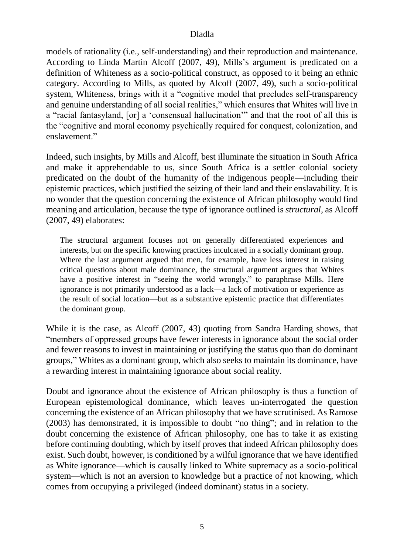models of rationality (i.e., self-understanding) and their reproduction and maintenance. According to Linda Martin Alcoff (2007, 49), Mills's argument is predicated on a definition of Whiteness as a socio-political construct, as opposed to it being an ethnic category. According to Mills, as quoted by Alcoff (2007, 49), such a socio-political system, Whiteness, brings with it a "cognitive model that precludes self-transparency and genuine understanding of all social realities," which ensures that Whites will live in a "racial fantasyland, [or] a 'consensual hallucination'" and that the root of all this is the "cognitive and moral economy psychically required for conquest, colonization, and enslavement"

Indeed, such insights, by Mills and Alcoff, best illuminate the situation in South Africa and make it apprehendable to us, since South Africa is a settler colonial society predicated on the doubt of the humanity of the indigenous people—including their epistemic practices, which justified the seizing of their land and their enslavability. It is no wonder that the question concerning the existence of African philosophy would find meaning and articulation, because the type of ignorance outlined is *structural,* as Alcoff (2007, 49) elaborates:

The structural argument focuses not on generally differentiated experiences and interests, but on the specific knowing practices inculcated in a socially dominant group. Where the last argument argued that men, for example, have less interest in raising critical questions about male dominance, the structural argument argues that Whites have a positive interest in "seeing the world wrongly," to paraphrase Mills. Here ignorance is not primarily understood as a lack—a lack of motivation or experience as the result of social location—but as a substantive epistemic practice that differentiates the dominant group.

While it is the case, as Alcoff (2007, 43) quoting from Sandra Harding shows, that "members of oppressed groups have fewer interests in ignorance about the social order and fewer reasons to invest in maintaining or justifying the status quo than do dominant groups," Whites as a dominant group, which also seeks to maintain its dominance, have a rewarding interest in maintaining ignorance about social reality.

Doubt and ignorance about the existence of African philosophy is thus a function of European epistemological dominance, which leaves un-interrogated the question concerning the existence of an African philosophy that we have scrutinised. As Ramose (2003) has demonstrated, it is impossible to doubt "no thing"; and in relation to the doubt concerning the existence of African philosophy, one has to take it as existing before continuing doubting, which by itself proves that indeed African philosophy does exist. Such doubt, however, is conditioned by a wilful ignorance that we have identified as White ignorance—which is causally linked to White supremacy as a socio-political system—which is not an aversion to knowledge but a practice of not knowing, which comes from occupying a privileged (indeed dominant) status in a society.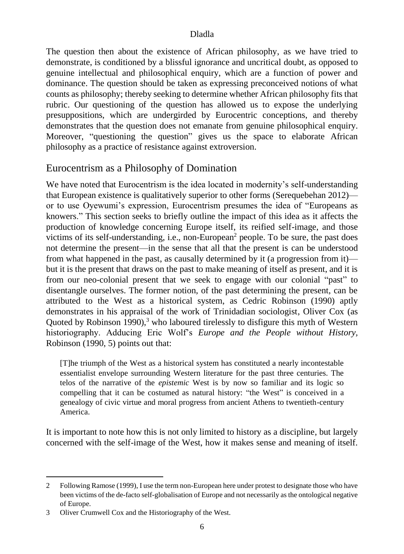The question then about the existence of African philosophy, as we have tried to demonstrate, is conditioned by a blissful ignorance and uncritical doubt, as opposed to genuine intellectual and philosophical enquiry, which are a function of power and dominance. The question should be taken as expressing preconceived notions of what counts as philosophy; thereby seeking to determine whether African philosophy fits that rubric. Our questioning of the question has allowed us to expose the underlying presuppositions, which are undergirded by Eurocentric conceptions, and thereby demonstrates that the question does not emanate from genuine philosophical enquiry. Moreover, "questioning the question" gives us the space to elaborate African philosophy as a practice of resistance against extroversion.

# Eurocentrism as a Philosophy of Domination

We have noted that Eurocentrism is the idea located in modernity's self-understanding that European existence is qualitatively superior to other forms (Serequebehan 2012) or to use Oyewumi's expression, Eurocentrism presumes the idea of "Europeans as knowers." This section seeks to briefly outline the impact of this idea as it affects the production of knowledge concerning Europe itself, its reified self-image, and those victims of its self-understanding, i.e., non-European<sup>2</sup> people. To be sure, the past does not determine the present—in the sense that all that the present is can be understood from what happened in the past, as causally determined by it (a progression from it) but it is the present that draws on the past to make meaning of itself as present, and it is from our neo-colonial present that we seek to engage with our colonial "past" to disentangle ourselves. The former notion, of the past determining the present, can be attributed to the West as a historical system, as Cedric Robinson (1990) aptly demonstrates in his appraisal of the work of Trinidadian sociologist, Oliver Cox (as Quoted by Robinson 1990),<sup>3</sup> who laboured tirelessly to disfigure this myth of Western historiography. Adducing Eric Wolf's *Europe and the People without History,* Robinson (1990, 5) points out that:

[T]he triumph of the West as a historical system has constituted a nearly incontestable essentialist envelope surrounding Western literature for the past three centuries. The telos of the narrative of the *epistemic* West is by now so familiar and its logic so compelling that it can be costumed as natural history: "the West" is conceived in a genealogy of civic virtue and moral progress from ancient Athens to twentieth-century America.

It is important to note how this is not only limited to history as a discipline, but largely concerned with the self-image of the West, how it makes sense and meaning of itself.

-

<sup>2</sup> Following Ramose (1999), I use the term non-European here under protest to designate those who have been victims of the de-facto self-globalisation of Europe and not necessarily as the ontological negative of Europe.

<sup>3</sup> Oliver Crumwell Cox and the Historiography of the West.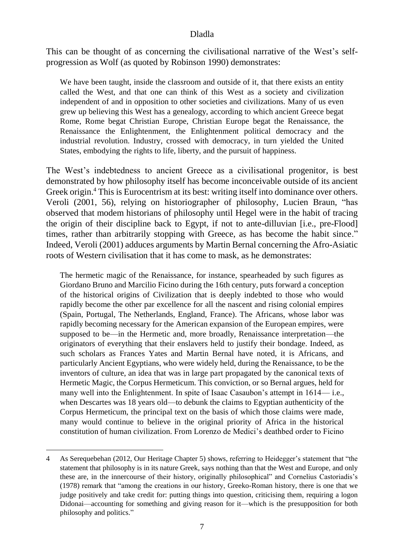This can be thought of as concerning the civilisational narrative of the West's selfprogression as Wolf (as quoted by Robinson 1990) demonstrates:

We have been taught, inside the classroom and outside of it, that there exists an entity called the West, and that one can think of this West as a society and civilization independent of and in opposition to other societies and civilizations. Many of us even grew up believing this West has a genealogy, according to which ancient Greece begat Rome, Rome begat Christian Europe, Christian Europe begat the Renaissance, the Renaissance the Enlightenment, the Enlightenment political democracy and the industrial revolution. Industry, crossed with democracy, in turn yielded the United States, embodying the rights to life, liberty, and the pursuit of happiness.

The West's indebtedness to ancient Greece as a civilisational progenitor, is best demonstrated by how philosophy itself has become inconceivable outside of its ancient Greek origin. <sup>4</sup> This is Eurocentrism at its best: writing itself into dominance over others. Veroli (2001, 56), relying on historiographer of philosophy, Lucien Braun, "has observed that modem historians of philosophy until Hegel were in the habit of tracing the origin of their discipline back to Egypt, if not to ante-dilluvian [i.e., pre-Flood] times, rather than arbitrarily stopping with Greece, as has become the habit since." Indeed, Veroli (2001) adduces arguments by Martin Bernal concerning the Afro-Asiatic roots of Western civilisation that it has come to mask, as he demonstrates:

The hermetic magic of the Renaissance, for instance, spearheaded by such figures as Giordano Bruno and Marcilio Ficino during the 16th century, puts forward a conception of the historical origins of Civilization that is deeply indebted to those who would rapidly become the other par excellence for all the nascent and rising colonial empires (Spain, Portugal, The Netherlands, England, France). The Africans, whose labor was rapidly becoming necessary for the American expansion of the European empires, were supposed to be—in the Hermetic and, more broadly, Renaissance interpretation—the originators of everything that their enslavers held to justify their bondage. Indeed, as such scholars as Frances Yates and Martin Bernal have noted, it is Africans, and particularly Ancient Egyptians, who were widely held, during the Renaissance, to be the inventors of culture, an idea that was in large part propagated by the canonical texts of Hermetic Magic, the Corpus Hermeticum. This conviction, or so Bernal argues, held for many well into the Enlightenment. In spite of Isaac Casaubon's attempt in 1614— i.e., when Descartes was 18 years old—to debunk the claims to Egyptian authenticity of the Corpus Hermeticum, the principal text on the basis of which those claims were made, many would continue to believe in the original priority of Africa in the historical constitution of human civilization. From Lorenzo de Medici's deathbed order to Ficino

-

<sup>4</sup> As Serequebehan (2012, Our Heritage Chapter 5) shows, referring to Heidegger's statement that "the statement that philosophy is in its nature Greek, says nothing than that the West and Europe, and only these are, in the innercourse of their history, originally philosophical" and Cornelius Castoriadis's (1978) remark that "among the creations in our history, Greeko-Roman history, there is one that we judge positively and take credit for: putting things into question, criticising them, requiring a logon Didonai—accounting for something and giving reason for it—which is the presupposition for both philosophy and politics."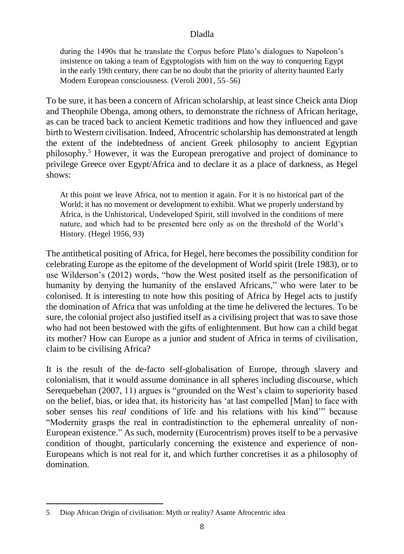during the 1490s that he translate the Corpus before Plato's dialogues to Napoleon's insistence on taking a team of Egyptologists with him on the way to conquering Egypt in the early 19th century, there can be no doubt that the priority of alterity haunted Early Modern European consciousness. (Veroli 2001, 55–56)

To be sure, it has been a concern of African scholarship, at least since Cheick anta Diop and Theophile Obenga, among others, to demonstrate the richness of African heritage, as can be traced back to ancient Kemetic traditions and how they influenced and gave birth to Western civilisation. Indeed, Afrocentric scholarship has demonstrated at length the extent of the indebtedness of ancient Greek philosophy to ancient Egyptian philosophy. <sup>5</sup> However, it was the European prerogative and project of dominance to privilege Greece over Egypt/Africa and to declare it as a place of darkness, as Hegel shows:

At this point we leave Africa, not to mention it again. For it is no historical part of the World; it has no movement or development to exhibit. What we properly understand by Africa, is the Unhistorical, Undeveloped Spirit, still involved in the conditions of mere nature, and which had to be presented here only as on the threshold of the World's History. (Hegel 1956, 93)

The antithetical positing of Africa, for Hegel, here becomes the possibility condition for celebrating Europe as the epitome of the development of World spirit (Irele 1983), or to use Wilderson's (2012) words, "how the West posited itself as the personification of humanity by denying the humanity of the enslaved Africans," who were later to be colonised. It is interesting to note how this positing of Africa by Hegel acts to justify the domination of Africa that was unfolding at the time he delivered the lectures. To be sure, the colonial project also justified itself as a civilising project that was to save those who had not been bestowed with the gifts of enlightenment. But how can a child begat its mother? How can Europe as a junior and student of Africa in terms of civilisation, claim to be civilising Africa?

It is the result of the de-facto self-globalisation of Europe, through slavery and colonialism, that it would assume dominance in all spheres including discourse, which Serequebehan (2007, 11) argues is "grounded on the West's claim to superiority based on the belief, bias, or idea that, its historicity has 'at last compelled [Man] to face with sober senses his *real* conditions of life and his relations with his kind'" because "Modernity grasps the real in contradistinction to the ephemeral unreality of non-European existence." As such, modernity (Eurocentrism) proves itself to be a pervasive condition of thought, particularly concerning the existence and experience of non-Europeans which is not real for it, and which further concretises it as a philosophy of domination.

-

<sup>5</sup> Diop African Origin of civilisation: Myth or reality? Asante Afrocentric idea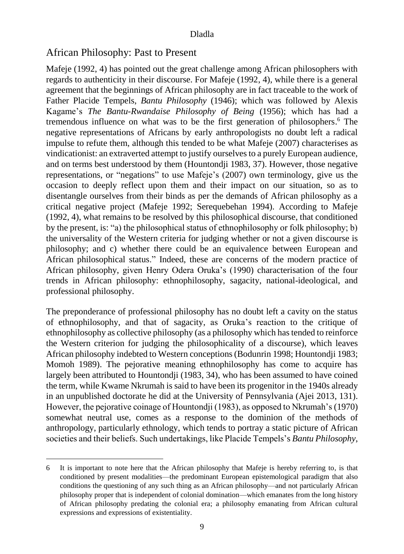# African Philosophy: Past to Present

1

Mafeje (1992, 4) has pointed out the great challenge among African philosophers with regards to authenticity in their discourse. For Mafeje (1992, 4), while there is a general agreement that the beginnings of African philosophy are in fact traceable to the work of Father Placide Tempels, *Bantu Philosophy* (1946); which was followed by Alexis Kagame's *The Bantu-Rwandaise Philosophy of Being* (1956); which has had a tremendous influence on what was to be the first generation of philosophers. <sup>6</sup> The negative representations of Africans by early anthropologists no doubt left a radical impulse to refute them, although this tended to be what Mafeje (2007) characterises as vindicationist: an extraverted attempt to justify ourselves to a purely European audience, and on terms best understood by them (Hountondji 1983, 37). However, those negative representations, or "negations" to use Mafeje's (2007) own terminology, give us the occasion to deeply reflect upon them and their impact on our situation, so as to disentangle ourselves from their binds as per the demands of African philosophy as a critical negative project (Mafeje 1992; Serequebehan 1994). According to Mafeje (1992, 4), what remains to be resolved by this philosophical discourse, that conditioned by the present, is: "a) the philosophical status of ethnophilosophy or folk philosophy; b) the universality of the Western criteria for judging whether or not a given discourse is philosophy; and c) whether there could be an equivalence between European and African philosophical status." Indeed, these are concerns of the modern practice of African philosophy, given Henry Odera Oruka's (1990) characterisation of the four trends in African philosophy: ethnophilosophy, sagacity, national-ideological, and professional philosophy.

The preponderance of professional philosophy has no doubt left a cavity on the status of ethnophilosophy, and that of sagacity, as Oruka's reaction to the critique of ethnophilosophy as collective philosophy (as a philosophy which has tended to reinforce the Western criterion for judging the philosophicality of a discourse), which leaves African philosophy indebted to Western conceptions (Bodunrin 1998; Hountondji 1983; Momoh 1989). The pejorative meaning ethnophilosophy has come to acquire has largely been attributed to Hountondji (1983, 34), who has been assumed to have coined the term, while Kwame Nkrumah is said to have been its progenitor in the 1940s already in an unpublished doctorate he did at the University of Pennsylvania (Ajei 2013, 131). However, the pejorative coinage of Hountondji (1983), as opposed to Nkrumah's (1970) somewhat neutral use, comes as a response to the dominion of the methods of anthropology, particularly ethnology, which tends to portray a static picture of African societies and their beliefs. Such undertakings, like Placide Tempels's *Bantu Philosophy*,

<sup>6</sup> It is important to note here that the African philosophy that Mafeje is hereby referring to, is that conditioned by present modalities—the predominant European epistemological paradigm that also conditions the questioning of any such thing as an African philosophy—and not particularly African philosophy proper that is independent of colonial domination—which emanates from the long history of African philosophy predating the colonial era; a philosophy emanating from African cultural expressions and expressions of existentiality.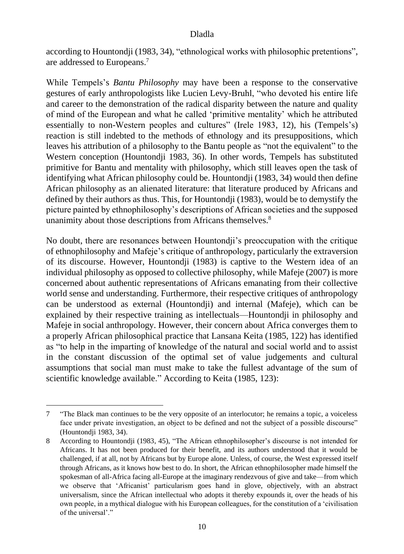according to Hountondji (1983, 34), "ethnological works with philosophic pretentions", are addressed to Europeans. 7

While Tempels's *Bantu Philosophy* may have been a response to the conservative gestures of early anthropologists like Lucien Levy-Bruhl, "who devoted his entire life and career to the demonstration of the radical disparity between the nature and quality of mind of the European and what he called 'primitive mentality' which he attributed essentially to non-Western peoples and cultures" (Irele 1983, 12), his (Tempels's) reaction is still indebted to the methods of ethnology and its presuppositions, which leaves his attribution of a philosophy to the Bantu people as "not the equivalent" to the Western conception (Hountondji 1983, 36). In other words, Tempels has substituted primitive for Bantu and mentality with philosophy, which still leaves open the task of identifying what African philosophy could be. Hountondji (1983, 34) would then define African philosophy as an alienated literature: that literature produced by Africans and defined by their authors as thus. This, for Hountondji (1983), would be to demystify the picture painted by ethnophilosophy's descriptions of African societies and the supposed unanimity about those descriptions from Africans themselves.<sup>8</sup>

No doubt, there are resonances between Hountondji's preoccupation with the critique of ethnophilosophy and Mafeje's critique of anthropology, particularly the extraversion of its discourse. However, Hountondji (1983) is captive to the Western idea of an individual philosophy as opposed to collective philosophy, while Mafeje (2007) is more concerned about authentic representations of Africans emanating from their collective world sense and understanding. Furthermore, their respective critiques of anthropology can be understood as external (Hountondji) and internal (Mafeje), which can be explained by their respective training as intellectuals—Hountondji in philosophy and Mafeje in social anthropology. However, their concern about Africa converges them to a properly African philosophical practice that Lansana Keita (1985, 122) has identified as "to help in the imparting of knowledge of the natural and social world and to assist in the constant discussion of the optimal set of value judgements and cultural assumptions that social man must make to take the fullest advantage of the sum of scientific knowledge available." According to Keita (1985, 123):

1

<sup>7</sup> "The Black man continues to be the very opposite of an interlocutor; he remains a topic, a voiceless face under private investigation, an object to be defined and not the subject of a possible discourse" (Hountondji 1983, 34).

<sup>8</sup> According to Hountondji (1983, 45), "The African ethnophilosopher's discourse is not intended for Africans. It has not been produced for their benefit, and its authors understood that it would be challenged, if at all, not by Africans but by Europe alone. Unless, of course, the West expressed itself through Africans, as it knows how best to do. In short, the African ethnophilosopher made himself the spokesman of all-Africa facing all-Europe at the imaginary rendezvous of give and take—from which we observe that 'Africanist' particularism goes hand in glove, objectively, with an abstract universalism, since the African intellectual who adopts it thereby expounds it, over the heads of his own people, in a mythical dialogue with his European colleagues, for the constitution of a 'civilisation of the universal'."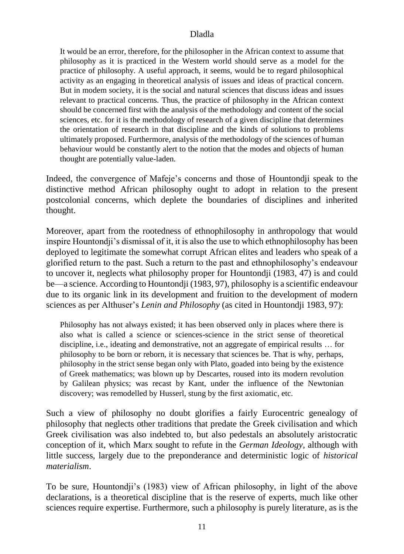It would be an error, therefore, for the philosopher in the African context to assume that philosophy as it is practiced in the Western world should serve as a model for the practice of philosophy. A useful approach, it seems, would be to regard philosophical activity as an engaging in theoretical analysis of issues and ideas of practical concern. But in modem society, it is the social and natural sciences that discuss ideas and issues relevant to practical concerns. Thus, the practice of philosophy in the African context should be concerned first with the analysis of the methodology and content of the social sciences, etc. for it is the methodology of research of a given discipline that determines the orientation of research in that discipline and the kinds of solutions to problems ultimately proposed. Furthermore, analysis of the methodology of the sciences of human behaviour would be constantly alert to the notion that the modes and objects of human thought are potentially value-laden.

Indeed, the convergence of Mafeje's concerns and those of Hountondji speak to the distinctive method African philosophy ought to adopt in relation to the present postcolonial concerns, which deplete the boundaries of disciplines and inherited thought.

Moreover, apart from the rootedness of ethnophilosophy in anthropology that would inspire Hountondji's dismissal of it, it is also the use to which ethnophilosophy has been deployed to legitimate the somewhat corrupt African elites and leaders who speak of a glorified return to the past. Such a return to the past and ethnophilosophy's endeavour to uncover it, neglects what philosophy proper for Hountondji (1983, 47) is and could be—a science. According to Hountondji (1983, 97), philosophy is a scientific endeavour due to its organic link in its development and fruition to the development of modern sciences as per Althuser's *Lenin and Philosophy* (as cited in Hountondji 1983, 97):

Philosophy has not always existed; it has been observed only in places where there is also what is called a science or sciences-science in the strict sense of theoretical discipline, i.e., ideating and demonstrative, not an aggregate of empirical results … for philosophy to be born or reborn, it is necessary that sciences be. That is why, perhaps, philosophy in the strict sense began only with Plato, goaded into being by the existence of Greek mathematics; was blown up by Descartes, roused into its modern revolution by Galilean physics; was recast by Kant, under the influence of the Newtonian discovery; was remodelled by Husserl, stung by the first axiomatic, etc.

Such a view of philosophy no doubt glorifies a fairly Eurocentric genealogy of philosophy that neglects other traditions that predate the Greek civilisation and which Greek civilisation was also indebted to, but also pedestals an absolutely aristocratic conception of it, which Marx sought to refute in the *German Ideology,* although with little success, largely due to the preponderance and deterministic logic of *historical materialism*.

To be sure, Hountondji's (1983) view of African philosophy, in light of the above declarations, is a theoretical discipline that is the reserve of experts, much like other sciences require expertise. Furthermore, such a philosophy is purely literature, as is the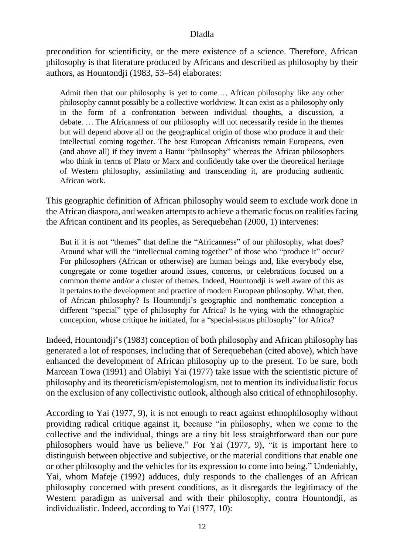precondition for scientificity, or the mere existence of a science. Therefore, African philosophy is that literature produced by Africans and described as philosophy by their authors, as Hountondji (1983, 53–54) elaborates:

Admit then that our philosophy is yet to come … African philosophy like any other philosophy cannot possibly be a collective worldview. It can exist as a philosophy only in the form of a confrontation between individual thoughts, a discussion, a debate. … The Africanness of our philosophy will not necessarily reside in the themes but will depend above all on the geographical origin of those who produce it and their intellectual coming together. The best European Africanists remain Europeans, even (and above all) if they invent a Bantu "philosophy" whereas the African philosophers who think in terms of Plato or Marx and confidently take over the theoretical heritage of Western philosophy, assimilating and transcending it, are producing authentic African work.

This geographic definition of African philosophy would seem to exclude work done in the African diaspora, and weaken attempts to achieve a thematic focus on realities facing the African continent and its peoples, as Serequebehan (2000, 1) intervenes:

But if it is not "themes" that define the "Africanness" of our philosophy, what does? Around what will the "intellectual coming together" of those who "produce it" occur? For philosophers (African or otherwise) are human beings and, like everybody else, congregate or come together around issues, concerns, or celebrations focused on a common theme and/or a cluster of themes. Indeed, Hountondji is well aware of this as it pertains to the development and practice of modern European philosophy. What, then, of African philosophy? Is Hountondji's geographic and nonthematic conception a different "special" type of philosophy for Africa? Is he vying with the ethnographic conception, whose critique he initiated, for a "special-status philosophy" for Africa?

Indeed, Hountondji's (1983) conception of both philosophy and African philosophy has generated a lot of responses, including that of Serequebehan (cited above), which have enhanced the development of African philosophy up to the present. To be sure, both Marcean Towa (1991) and Olabiyi Yai (1977) take issue with the scientistic picture of philosophy and its theoreticism/epistemologism, not to mention its individualistic focus on the exclusion of any collectivistic outlook, although also critical of ethnophilosophy.

According to Yai (1977, 9), it is not enough to react against ethnophilosophy without providing radical critique against it, because "in philosophy, when we come to the collective and the individual, things are a tiny bit less straightforward than our pure philosophers would have us believe." For Yai (1977, 9), "it is important here to distinguish between objective and subjective, or the material conditions that enable one or other philosophy and the vehicles for its expression to come into being." Undeniably, Yai, whom Mafeje (1992) adduces, duly responds to the challenges of an African philosophy concerned with present conditions, as it disregards the legitimacy of the Western paradigm as universal and with their philosophy, contra Hountondji, as individualistic. Indeed, according to Yai (1977, 10):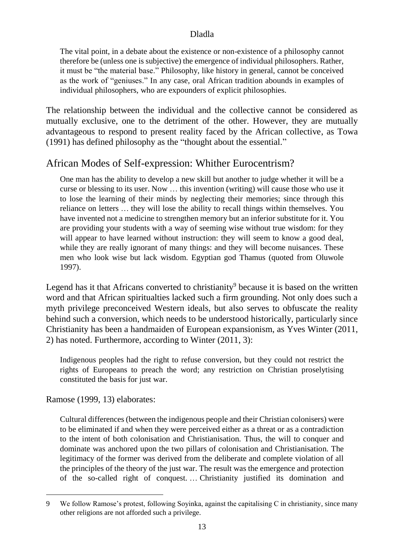The vital point, in a debate about the existence or non-existence of a philosophy cannot therefore be (unless one is subjective) the emergence of individual philosophers. Rather, it must be "the material base." Philosophy, like history in general, cannot be conceived as the work of "geniuses." In any case, oral African tradition abounds in examples of individual philosophers, who are expounders of explicit philosophies.

The relationship between the individual and the collective cannot be considered as mutually exclusive, one to the detriment of the other. However, they are mutually advantageous to respond to present reality faced by the African collective, as Towa (1991) has defined philosophy as the "thought about the essential."

# African Modes of Self-expression: Whither Eurocentrism?

One man has the ability to develop a new skill but another to judge whether it will be a curse or blessing to its user. Now … this invention (writing) will cause those who use it to lose the learning of their minds by neglecting their memories; since through this reliance on letters … they will lose the ability to recall things within themselves. You have invented not a medicine to strengthen memory but an inferior substitute for it. You are providing your students with a way of seeming wise without true wisdom: for they will appear to have learned without instruction: they will seem to know a good deal, while they are really ignorant of many things: and they will become nuisances. These men who look wise but lack wisdom. Egyptian god Thamus (quoted from Oluwole 1997).

Legend has it that Africans converted to christianity<sup>9</sup> because it is based on the written word and that African spiritualties lacked such a firm grounding. Not only does such a myth privilege preconceived Western ideals, but also serves to obfuscate the reality behind such a conversion, which needs to be understood historically, particularly since Christianity has been a handmaiden of European expansionism, as Yves Winter (2011, 2) has noted. Furthermore, according to Winter (2011, 3):

Indigenous peoples had the right to refuse conversion, but they could not restrict the rights of Europeans to preach the word; any restriction on Christian proselytising constituted the basis for just war.

Ramose (1999, 13) elaborates:

1

Cultural differences (between the indigenous people and their Christian colonisers) were to be eliminated if and when they were perceived either as a threat or as a contradiction to the intent of both colonisation and Christianisation. Thus, the will to conquer and dominate was anchored upon the two pillars of colonisation and Christianisation. The legitimacy of the former was derived from the deliberate and complete violation of all the principles of the theory of the just war. The result was the emergence and protection of the so-called right of conquest. … Christianity justified its domination and

<sup>9</sup> We follow Ramose's protest, following Soyinka, against the capitalising C in christianity, since many other religions are not afforded such a privilege.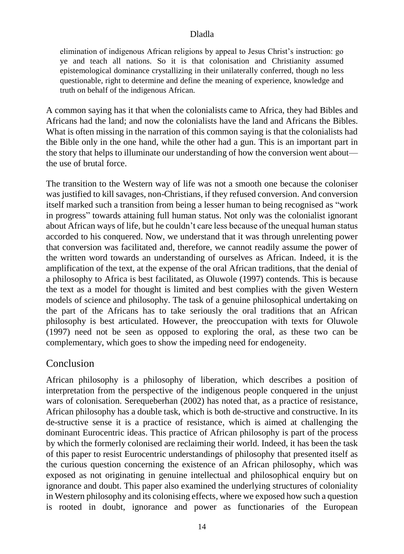elimination of indigenous African religions by appeal to Jesus Christ's instruction: go ye and teach all nations. So it is that colonisation and Christianity assumed epistemological dominance crystallizing in their unilaterally conferred, though no less questionable, right to determine and define the meaning of experience, knowledge and truth on behalf of the indigenous African.

A common saying has it that when the colonialists came to Africa, they had Bibles and Africans had the land; and now the colonialists have the land and Africans the Bibles. What is often missing in the narration of this common saying is that the colonialists had the Bible only in the one hand, while the other had a gun. This is an important part in the story that helps to illuminate our understanding of how the conversion went about the use of brutal force.

The transition to the Western way of life was not a smooth one because the coloniser was justified to kill savages, non-Christians, if they refused conversion. And conversion itself marked such a transition from being a lesser human to being recognised as "work in progress" towards attaining full human status. Not only was the colonialist ignorant about African ways of life, but he couldn't care less because of the unequal human status accorded to his conquered. Now, we understand that it was through unrelenting power that conversion was facilitated and, therefore, we cannot readily assume the power of the written word towards an understanding of ourselves as African. Indeed, it is the amplification of the text, at the expense of the oral African traditions, that the denial of a philosophy to Africa is best facilitated, as Oluwole (1997) contends. This is because the text as a model for thought is limited and best complies with the given Western models of science and philosophy. The task of a genuine philosophical undertaking on the part of the Africans has to take seriously the oral traditions that an African philosophy is best articulated. However, the preoccupation with texts for Oluwole (1997) need not be seen as opposed to exploring the oral, as these two can be complementary, which goes to show the impeding need for endogeneity.

# Conclusion

African philosophy is a philosophy of liberation, which describes a position of interpretation from the perspective of the indigenous people conquered in the unjust wars of colonisation. Serequeberhan (2002) has noted that, as a practice of resistance, African philosophy has a double task, which is both de-structive and constructive. In its de-structive sense it is a practice of resistance, which is aimed at challenging the dominant Eurocentric ideas. This practice of African philosophy is part of the process by which the formerly colonised are reclaiming their world. Indeed, it has been the task of this paper to resist Eurocentric understandings of philosophy that presented itself as the curious question concerning the existence of an African philosophy, which was exposed as not originating in genuine intellectual and philosophical enquiry but on ignorance and doubt. This paper also examined the underlying structures of coloniality in Western philosophy and its colonising effects, where we exposed how such a question is rooted in doubt, ignorance and power as functionaries of the European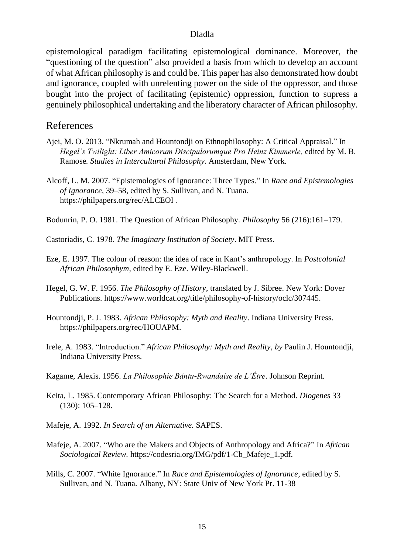epistemological paradigm facilitating epistemological dominance. Moreover, the "questioning of the question" also provided a basis from which to develop an account of what African philosophy is and could be. This paper has also demonstrated how doubt and ignorance, coupled with unrelenting power on the side of the oppressor, and those bought into the project of facilitating (epistemic) oppression, function to supress a genuinely philosophical undertaking and the liberatory character of African philosophy.

# References

- Ajei, M. O. 2013. "Nkrumah and Hountondji on Ethnophilosophy: A Critical Appraisal." In *Hegel's Twilight: Liber Amicorum Discipulorumque Pro Heinz Kimmerle,* edited by M. B. Ramose*. Studies in Intercultural Philosophy*. Amsterdam, New York.
- Alcoff, L. M. 2007. "Epistemologies of Ignorance: Three Types." In *Race and Epistemologies of Ignorance,* 39–58, edited by S. Sullivan, and N. Tuana. <https://philpapers.org/rec/ALCEOI> .
- Bodunrin, P. O. 1981. The Question of African Philosophy. *Philosoph*y 56 (216):161–179.
- Castoriadis, C. 1978. *The Imaginary Institution of Society*. MIT Press.
- Eze, E. 1997. The colour of reason: the idea of race in Kant's anthropology. In *Postcolonial African Philosophym,* edited by E. Eze*.* Wiley-Blackwell.
- Hegel, G. W. F. 1956. *The Philosophy of History*, translated by [J. Sibree.](https://www.amazon.com/s/ref=dp_byline_sr_book_2?ie=UTF8&field-author=J.+Sibree&text=J.+Sibree&sort=relevancerank&search-alias=books) New York: Dover Publications. [https://www.worldcat.org/title/philosophy-of-history/oclc/307445.](https://www.worldcat.org/title/philosophy-of-history/oclc/307445)
- Hountondji, P. J. 1983. *African Philosophy: Myth and Reality*. Indiana University Press. [https://philpapers.org/rec/HOUAPM.](https://philpapers.org/rec/HOUAPM)
- Irele, A. 1983. "Introduction." *[African Philosophy: Myth and Reality,](https://philpapers.org/go.pl?id=HOUAPM&proxyId=&u=http%3A%2F%2Fbooks.google.com%2Fbooks%3Fid%3Dg68bAAAAMAAJ%26printsec%3Dfront_cover) by* [Paulin J. Hountondji,](https://philpapers.org/s/Paulin%20J.%20Hountondji) Indiana University Press.
- Kagame, Alexis. 1956. *La Philosophie Bǎntu-Rwandaise de L'Être*. Johnson Reprint.
- Keita, L. 1985. Contemporary African Philosophy: The Search for a Method. *Diogenes* 33 (130): 105–128.
- Mafeje, A. 1992. *In Search of an Alternative.* SAPES.
- Mafeje, A. 2007. "Who are the Makers and Objects of Anthropology and Africa?" In *African Sociological Review.* https://codesria.org/IMG/pdf/1-Cb\_Mafeje\_1.pdf.
- Mills, C. 2007. "White Ignorance." In *Race and Epistemologies of Ignorance,* edited by S. Sullivan, and N. Tuana. Albany, NY: State Univ of New York Pr. 11-38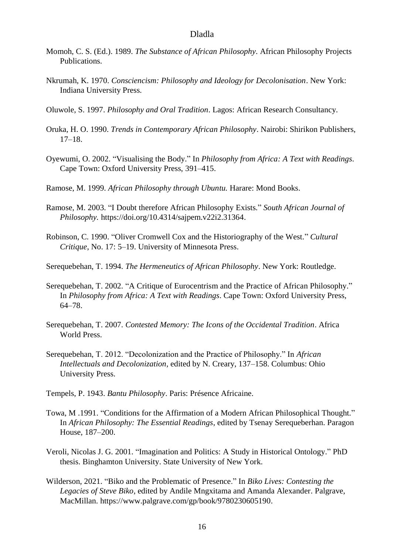- Momoh, C. S. (Ed.). 1989. *The Substance of African Philosophy.* African Philosophy Projects Publications.
- Nkrumah, K. 1970. *Consciencism: Philosophy and Ideology for Decolonisation*. New York: Indiana University Press.
- Oluwole, S. 1997. *Philosophy and Oral Tradition*. Lagos: African Research Consultancy.
- Oruka, H. O. 1990. *Trends in Contemporary African Philosophy*. Nairobi: Shirikon Publishers, 17–18.
- Oyewumi, O. 2002. "Visualising the Body." In *Philosophy from Africa: A Text with Readings*. Cape Town: Oxford University Press, 391–415.
- Ramose, M. 1999. *African Philosophy through Ubuntu.* Harare: Mond Books.
- Ramose, M. 2003. "I Doubt therefore African Philosophy Exists." *South African Journal of Philosophy.* [https://doi.org/10.4314/sajpem.v22i2.31364.](https://doi.org/10.4314/sajpem.v22i2.31364)
- Robinson, C. 1990. "Oliver Cromwell Cox and the Historiography of the West." *Cultural Critique*, No. 17: 5–19. University of Minnesota Press.

Serequebehan, T. 1994. *The Hermeneutics of African Philosophy*. New York: Routledge.

- Serequebehan, T. 2002. "A Critique of Eurocentrism and the Practice of African Philosophy." In *Philosophy from Africa: A Text with Readings*. Cape Town: Oxford University Press, 64–78.
- Serequebehan, T. 2007. *Contested Memory: The Icons of the Occidental Tradition*. Africa World Press.
- Serequebehan, T. 2012. "Decolonization and the Practice of Philosophy." In *African Intellectuals and Decolonization*, edited by N. Creary, 137–158. Columbus: Ohio University Press.
- Tempels, P. 1943. *Bantu Philosophy*. Paris: Présence Africaine.
- Towa, M .1991. "Conditions for the Affirmation of a Modern African Philosophical Thought." In *African Philosophy: The Essential Readings*, edited by Tsenay Serequeberhan. Paragon House, 187–200.
- Veroli, Nicolas J. G. 2001. "Imagination and Politics: A Study in Historical Ontology." PhD thesis. Binghamton University. State University of New York.
- Wilderson, 2021. "Biko and the Problematic of Presence." In *Biko Lives: Contesting the Legacies of Steve Biko*, edited by Andile Mngxitama and Amanda Alexander. Palgrave, MacMillan. [https://www.palgrave.com/gp/book/9780230605190.](https://www.palgrave.com/gp/book/9780230605190)